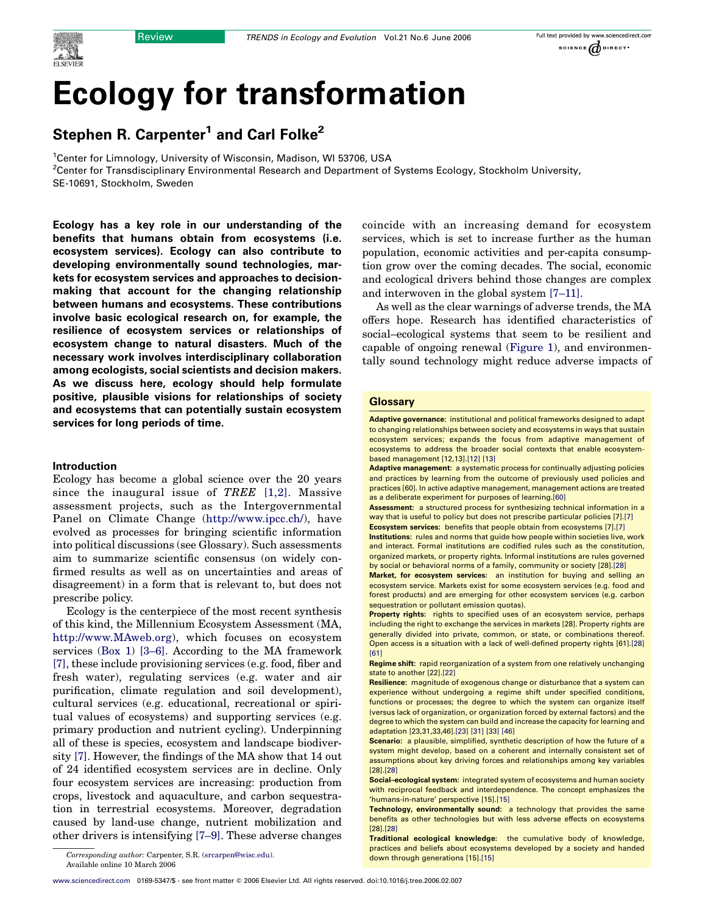# Ecology for transformation

# Stephen R. Carpenter<sup>1</sup> and Carl Folke<sup>2</sup>

<sup>1</sup>Center for Limnology, University of Wisconsin, Madison, WI 53706, USA <sup>2</sup>Center for Transdisciplinary Environmental Research and Department of Systems Ecology, Stockholm University, SE-10691, Stockholm, Sweden

Ecology has a key role in our understanding of the benefits that humans obtain from ecosystems (i.e. ecosystem services). Ecology can also contribute to developing environmentally sound technologies, markets for ecosystem services and approaches to decisionmaking that account for the changing relationship between humans and ecosystems. These contributions involve basic ecological research on, for example, the resilience of ecosystem services or relationships of ecosystem change to natural disasters. Much of the necessary work involves interdisciplinary collaboration among ecologists, social scientists and decision makers. As we discuss here, ecology should help formulate positive, plausible visions for relationships of society and ecosystems that can potentially sustain ecosystem services for long periods of time.

# Introduction

Ecology has become a global science over the 20 years since the inaugural issue of TREE  $[1,2]$ . Massive assessment projects, such as the Intergovernmental Panel on Climate Change ([http://www.ipcc.ch/\)](http://www.ipcc.ch/), have evolved as processes for bringing scientific information into political discussions (see Glossary). Such assessments aim to summarize scientific consensus (on widely confirmed results as well as on uncertainties and areas of disagreement) in a form that is relevant to, but does not prescribe policy.

Ecology is the centerpiece of the most recent synthesis of this kind, the Millennium Ecosystem Assessment (MA, <http://www.MAweb.org>), which focuses on ecosystem services (Box 1) [\[3–6\]](#page-5-0). According to the MA framework [\[7\]](#page-5-0), these include provisioning services (e.g. food, fiber and fresh water), regulating services (e.g. water and air purification, climate regulation and soil development), cultural services (e.g. educational, recreational or spiritual values of ecosystems) and supporting services (e.g. primary production and nutrient cycling). Underpinning all of these is species, ecosystem and landscape biodiversity [\[7\].](#page-5-0) However, the findings of the MA show that 14 out of 24 identified ecosystem services are in decline. Only four ecosystem services are increasing: production from crops, livestock and aquaculture, and carbon sequestration in terrestrial ecosystems. Moreover, degradation caused by land-use change, nutrient mobilization and other drivers is intensifying [\[7–9\].](#page-5-0) These adverse changes

coincide with an increasing demand for ecosystem services, which is set to increase further as the human population, economic activities and per-capita consumption grow over the coming decades. The social, economic and ecological drivers behind those changes are complex and interwoven in the global system [\[7–11\].](#page-5-0)

As well as the clear warnings of adverse trends, the MA offers hope. Research has identified characteristics of social–ecological systems that seem to be resilient and capable of ongoing renewal ([Figure 1\)](#page-2-0), and environmentally sound technology might reduce adverse impacts of

# **Glossary**

Adaptive governance: institutional and political frameworks designed to adapt to changing relationships between society and ecosystems in ways that sustain ecosystem services; expands the focus from adaptive management of ecosystems to address the broader social contexts that enable ecosystembased management [12,13].[\[12\] \[13\]](#page-5-0)

Adaptive management: a systematic process for continually adjusting policies and practices by learning from the outcome of previously used policies and practices [60]. In active adaptive management, management actions are treated as a deliberate experiment for purposes of learning[.\[60\]](#page-6-0)

Assessment: a structured process for synthesizing technical information in a way that is useful to policy but does not prescribe particular policies [7][.\[7\]](#page-5-0) Ecosystem services: benefits that people obtain from ecosystems [7][.\[7\]](#page-5-0)

Institutions: rules and norms that guide how people within societies live, work and interact. Formal institutions are codified rules such as the constitution, organized markets, or property rights. Informal institutions are rules governed

by social or behavioral norms of a family, community or society [28].[\[28\]](#page-6-0) Market, for ecosystem services: an institution for buying and selling an

ecosystem service. Markets exist for some ecosystem services (e.g. food and forest products) and are emerging for other ecosystem services (e.g. carbon sequestration or pollutant emission quotas).

Property rights: rights to specified uses of an ecosystem service, perhaps including the right to exchange the services in markets [28]. Property rights are generally divided into private, common, or state, or combinations thereof. Open access is a situation with a lack of well-defined property rights [61][.\[28\]](#page-6-0)  $[61]$ 

Regime shift: rapid reorganization of a system from one relatively unchanging state to another [22][.\[22\]](#page-5-0)

Resilience: magnitude of exogenous change or disturbance that a system can experience without undergoing a regime shift under specified conditions, functions or processes; the degree to which the system can organize itself (versus lack of organization, or organization forced by external factors) and the degree to which the system can build and increase the capacity for learning and adaptation [23,31,33,46].[\[23\]](#page-5-0) [\[31\] \[33\] \[46\]](#page-6-0)

Scenario: a plausible, simplified, synthetic description of how the future of a system might develop, based on a coherent and internally consistent set of assumptions about key driving forces and relationships among key variables [28][.\[28\]](#page-6-0)

Social–ecological system: integrated system of ecosystems and human society with reciprocal feedback and interdependence. The concept emphasizes the 'humans-in-nature' perspective [15][.\[15\]](#page-5-0)

Technology, environmentally sound: a technology that provides the same benefits as other technologies but with less adverse effects on ecosystems [28][.\[28\]](#page-6-0)

Traditional ecological knowledge: the cumulative body of knowledge, practices and beliefs about ecosystems developed by a society and handed

down through generations [15][.\[15\]](#page-5-0) Corresponding author: Carpenter, S.R. ([srcarpen@wisc.edu](mailto:srcarpen@wisc.edu)). Available online 10 March 2006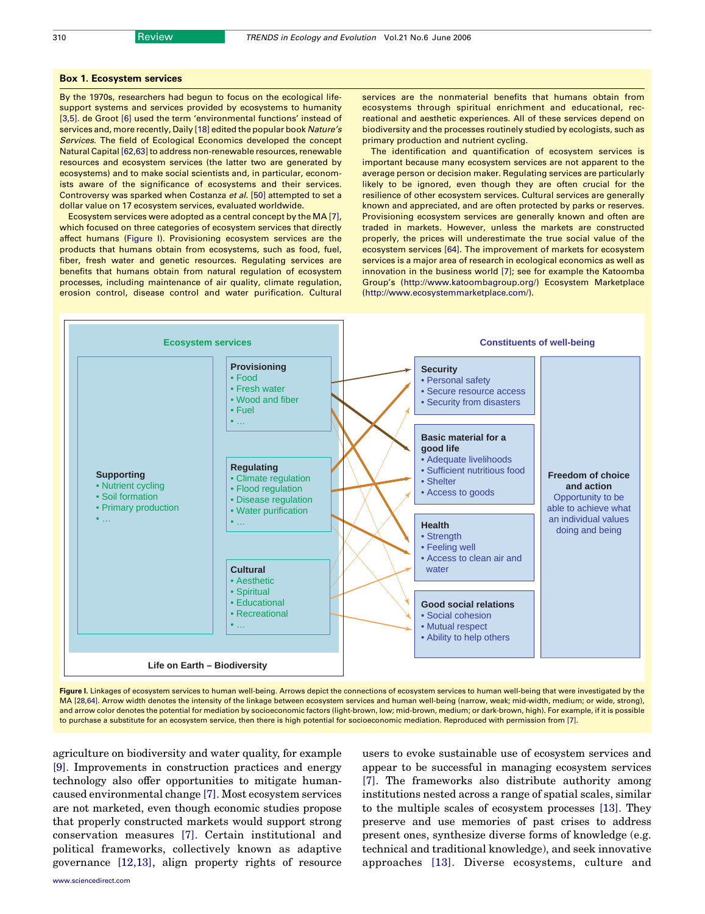#### Box 1. Ecosystem services

By the 1970s, researchers had begun to focus on the ecological lifesupport systems and services provided by ecosystems to humanity [\[3,5\]](#page-5-0). de Groot [\[6\]](#page-5-0) used the term 'environmental functions' instead of services and, more recently, Daily [\[18\]](#page-5-0) edited the popular book Nature's Services. The field of Ecological Economics developed the concept Natural Capital [\[62,63\]](#page-6-0) to address non-renewable resources, renewable resources and ecosystem services (the latter two are generated by ecosystems) and to make social scientists and, in particular, economists aware of the significance of ecosystems and their services. Controversy was sparked when Costanza et al. [\[50\]](#page-6-0) attempted to set a dollar value on 17 ecosystem services, evaluated worldwide.

Ecosystem services were adopted as a central concept by the MA [\[7\],](#page-5-0) which focused on three categories of ecosystem services that directly affect humans (Figure I). Provisioning ecosystem services are the products that humans obtain from ecosystems, such as food, fuel, fiber, fresh water and genetic resources. Regulating services are benefits that humans obtain from natural regulation of ecosystem processes, including maintenance of air quality, climate regulation, erosion control, disease control and water purification. Cultural

services are the nonmaterial benefits that humans obtain from ecosystems through spiritual enrichment and educational, recreational and aesthetic experiences. All of these services depend on biodiversity and the processes routinely studied by ecologists, such as primary production and nutrient cycling.

The identification and quantification of ecosystem services is important because many ecosystem services are not apparent to the average person or decision maker. Regulating services are particularly likely to be ignored, even though they are often crucial for the resilience of other ecosystem services. Cultural services are generally known and appreciated, and are often protected by parks or reserves. Provisioning ecosystem services are generally known and often are traded in markets. However, unless the markets are constructed properly, the prices will underestimate the true social value of the ecosystem services [\[64\]](#page-6-0). The improvement of markets for ecosystem services is a major area of research in ecological economics as well as innovation in the business world [\[7\];](#page-5-0) see for example the Katoomba Group's ([http://www.katoombagroup.org/\)](http://www.katoombagroup.org/) Ecosystem Marketplace [\(http://www.ecosystemmarketplace.com/](http://www.ecosystemmarketplace.com/)).



Figure I. Linkages of ecosystem services to human well-being. Arrows depict the connections of ecosystem services to human well-being that were investigated by the MA [\[28,64\].](#page-6-0) Arrow width denotes the intensity of the linkage between ecosystem services and human well-being (narrow, weak; mid-width, medium; or wide, strong), and arrow color denotes the potential for mediation by socioeconomic factors (light-brown, low; mid-brown, medium; or dark-brown, high). For example, if it is possible to purchase a substitute for an ecosystem service, then there is high potential for socioeconomic mediation. Reproduced with permission from [\[7\].](#page-5-0)

agriculture on biodiversity and water quality, for example [\[9\]](#page-5-0). Improvements in construction practices and energy technology also offer opportunities to mitigate humancaused environmental change [\[7\].](#page-5-0) Most ecosystem services are not marketed, even though economic studies propose that properly constructed markets would support strong conservation measures [\[7\]](#page-5-0). Certain institutional and political frameworks, collectively known as adaptive governance [\[12,13\]](#page-5-0), align property rights of resource

users to evoke sustainable use of ecosystem services and appear to be successful in managing ecosystem services [\[7\]](#page-5-0). The frameworks also distribute authority among institutions nested across a range of spatial scales, similar to the multiple scales of ecosystem processes [\[13\]](#page-5-0). They preserve and use memories of past crises to address present ones, synthesize diverse forms of knowledge (e.g. technical and traditional knowledge), and seek innovative approaches [\[13\]](#page-5-0). Diverse ecosystems, culture and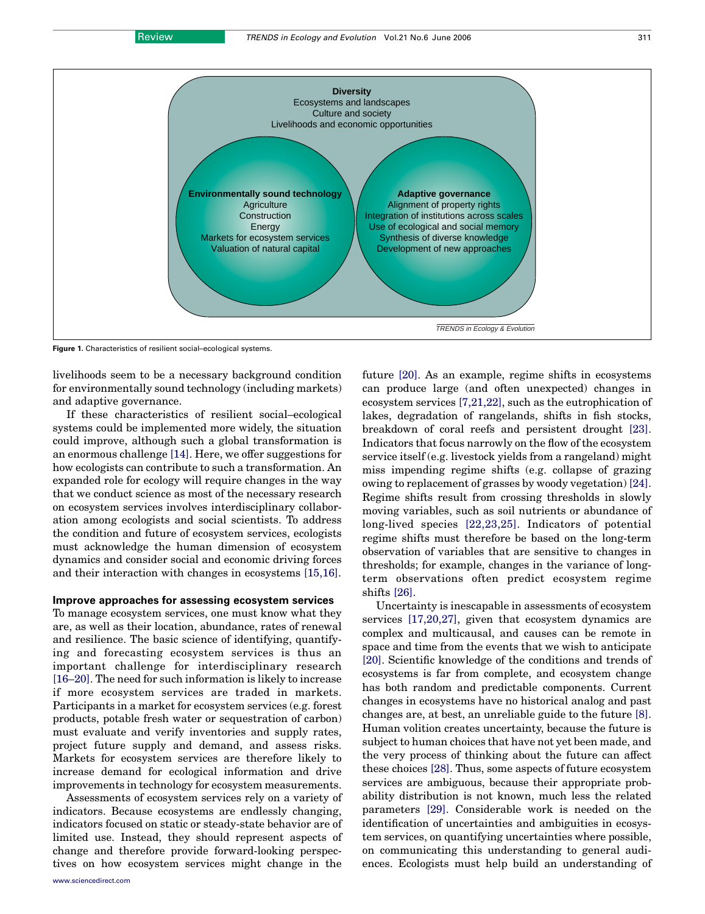<span id="page-2-0"></span>

Figure 1. Characteristics of resilient social–ecological systems.

livelihoods seem to be a necessary background condition for environmentally sound technology (including markets) and adaptive governance.

If these characteristics of resilient social–ecological systems could be implemented more widely, the situation could improve, although such a global transformation is an enormous challenge [\[14\]](#page-5-0). Here, we offer suggestions for how ecologists can contribute to such a transformation. An expanded role for ecology will require changes in the way that we conduct science as most of the necessary research on ecosystem services involves interdisciplinary collaboration among ecologists and social scientists. To address the condition and future of ecosystem services, ecologists must acknowledge the human dimension of ecosystem dynamics and consider social and economic driving forces and their interaction with changes in ecosystems [\[15,16\].](#page-5-0)

# Improve approaches for assessing ecosystem services

To manage ecosystem services, one must know what they are, as well as their location, abundance, rates of renewal and resilience. The basic science of identifying, quantifying and forecasting ecosystem services is thus an important challenge for interdisciplinary research [\[16–20\]](#page-5-0). The need for such information is likely to increase if more ecosystem services are traded in markets. Participants in a market for ecosystem services (e.g. forest products, potable fresh water or sequestration of carbon) must evaluate and verify inventories and supply rates, project future supply and demand, and assess risks. Markets for ecosystem services are therefore likely to increase demand for ecological information and drive improvements in technology for ecosystem measurements.

Assessments of ecosystem services rely on a variety of indicators. Because ecosystems are endlessly changing, indicators focused on static or steady-state behavior are of limited use. Instead, they should represent aspects of change and therefore provide forward-looking perspectives on how ecosystem services might change in the

future [\[20\].](#page-5-0) As an example, regime shifts in ecosystems can produce large (and often unexpected) changes in ecosystem services [\[7,21,22\]](#page-5-0), such as the eutrophication of lakes, degradation of rangelands, shifts in fish stocks, breakdown of coral reefs and persistent drought [\[23\]](#page-5-0). Indicators that focus narrowly on the flow of the ecosystem service itself (e.g. livestock yields from a rangeland) might miss impending regime shifts (e.g. collapse of grazing owing to replacement of grasses by woody vegetation) [\[24\]](#page-6-0). Regime shifts result from crossing thresholds in slowly moving variables, such as soil nutrients or abundance of long-lived species [\[22,23,25\]](#page-5-0). Indicators of potential regime shifts must therefore be based on the long-term observation of variables that are sensitive to changes in thresholds; for example, changes in the variance of longterm observations often predict ecosystem regime shifts [\[26\].](#page-6-0)

Uncertainty is inescapable in assessments of ecosystem services [\[17,20,27\]](#page-5-0), given that ecosystem dynamics are complex and multicausal, and causes can be remote in space and time from the events that we wish to anticipate [\[20\].](#page-5-0) Scientific knowledge of the conditions and trends of ecosystems is far from complete, and ecosystem change has both random and predictable components. Current changes in ecosystems have no historical analog and past changes are, at best, an unreliable guide to the future [\[8\]](#page-5-0). Human volition creates uncertainty, because the future is subject to human choices that have not yet been made, and the very process of thinking about the future can affect these choices [\[28\].](#page-6-0) Thus, some aspects of future ecosystem services are ambiguous, because their appropriate probability distribution is not known, much less the related parameters [\[29\]](#page-6-0). Considerable work is needed on the identification of uncertainties and ambiguities in ecosystem services, on quantifying uncertainties where possible, on communicating this understanding to general audiences. Ecologists must help build an understanding of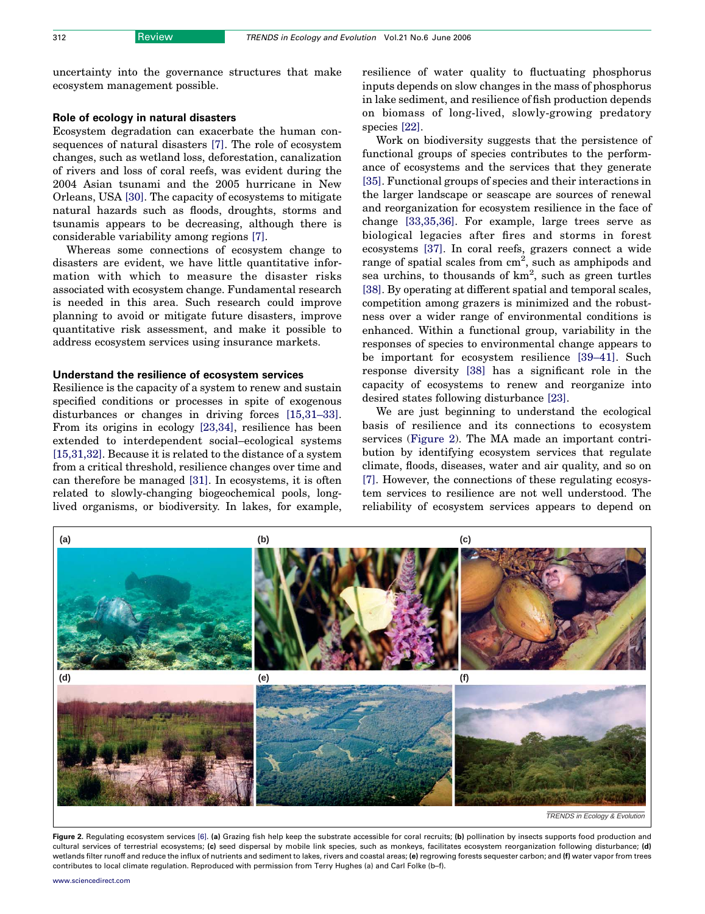uncertainty into the governance structures that make ecosystem management possible.

# Role of ecology in natural disasters

Ecosystem degradation can exacerbate the human consequences of natural disasters [\[7\].](#page-5-0) The role of ecosystem changes, such as wetland loss, deforestation, canalization of rivers and loss of coral reefs, was evident during the 2004 Asian tsunami and the 2005 hurricane in New Orleans, USA [\[30\]](#page-6-0). The capacity of ecosystems to mitigate natural hazards such as floods, droughts, storms and tsunamis appears to be decreasing, although there is considerable variability among regions [\[7\]](#page-5-0).

Whereas some connections of ecosystem change to disasters are evident, we have little quantitative information with which to measure the disaster risks associated with ecosystem change. Fundamental research is needed in this area. Such research could improve planning to avoid or mitigate future disasters, improve quantitative risk assessment, and make it possible to address ecosystem services using insurance markets.

# Understand the resilience of ecosystem services

Resilience is the capacity of a system to renew and sustain specified conditions or processes in spite of exogenous disturbances or changes in driving forces [\[15,31–33\]](#page-5-0). From its origins in ecology [\[23,34\]](#page-5-0), resilience has been extended to interdependent social–ecological systems [\[15,31,32\].](#page-5-0) Because it is related to the distance of a system from a critical threshold, resilience changes over time and can therefore be managed [\[31\].](#page-6-0) In ecosystems, it is often related to slowly-changing biogeochemical pools, longlived organisms, or biodiversity. In lakes, for example, resilience of water quality to fluctuating phosphorus inputs depends on slow changes in the mass of phosphorus in lake sediment, and resilience of fish production depends on biomass of long-lived, slowly-growing predatory species [\[22\]](#page-5-0).

Work on biodiversity suggests that the persistence of functional groups of species contributes to the performance of ecosystems and the services that they generate [\[35\].](#page-6-0) Functional groups of species and their interactions in the larger landscape or seascape are sources of renewal and reorganization for ecosystem resilience in the face of change [\[33,35,36\]](#page-6-0). For example, large trees serve as biological legacies after fires and storms in forest ecosystems [\[37\].](#page-6-0) In coral reefs, grazers connect a wide range of spatial scales from  $\text{cm}^2$ , such as amphipods and sea urchins, to thousands of  $km^2$ , such as green turtles [\[38\].](#page-6-0) By operating at different spatial and temporal scales, competition among grazers is minimized and the robustness over a wider range of environmental conditions is enhanced. Within a functional group, variability in the responses of species to environmental change appears to be important for ecosystem resilience [\[39–41\].](#page-6-0) Such response diversity [\[38\]](#page-6-0) has a significant role in the capacity of ecosystems to renew and reorganize into desired states following disturbance [\[23\]](#page-5-0).

We are just beginning to understand the ecological basis of resilience and its connections to ecosystem services (Figure 2). The MA made an important contribution by identifying ecosystem services that regulate climate, floods, diseases, water and air quality, and so on [\[7\]](#page-5-0). However, the connections of these regulating ecosystem services to resilience are not well understood. The reliability of ecosystem services appears to depend on



Figure 2. Regulating ecosystem services [\[6\].](#page-5-0) (a) Grazing fish help keep the substrate accessible for coral recruits; (b) pollination by insects supports food production and cultural services of terrestrial ecosystems; (c) seed dispersal by mobile link species, such as monkeys, facilitates ecosystem reorganization following disturbance; (d) wetlands filter runoff and reduce the influx of nutrients and sediment to lakes, rivers and coastal areas; (e) regrowing forests sequester carbon; and (f) water vapor from trees contributes to local climate regulation. Reproduced with permission from Terry Hughes (a) and Carl Folke (b–f).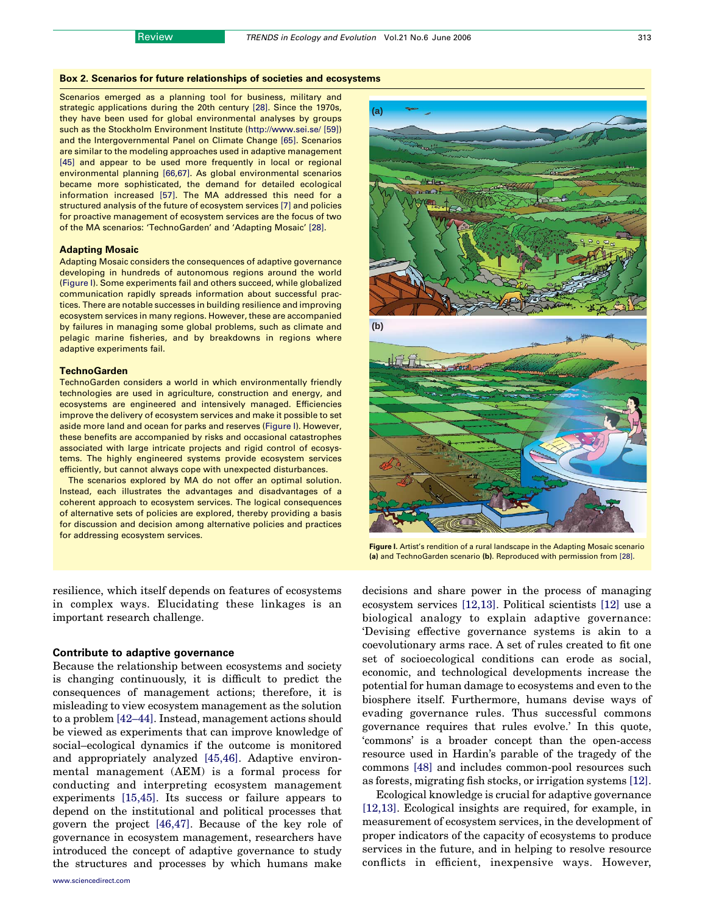# Box 2. Scenarios for future relationships of societies and ecosystems

Scenarios emerged as a planning tool for business, military and strategic applications during the 20th century [\[28\].](#page-6-0) Since the 1970s, they have been used for global environmental analyses by groups such as the Stockholm Environment Institute (<http://www.sei.se/> [\[59\]](#page-6-0)) and the Intergovernmental Panel on Climate Change [\[65\]](#page-6-0). Scenarios are similar to the modeling approaches used in adaptive management [\[45\]](#page-6-0) and appear to be used more frequently in local or regional environmental planning [\[66,67\].](#page-6-0) As global environmental scenarios became more sophisticated, the demand for detailed ecological information increased [\[57\]](#page-6-0). The MA addressed this need for a structured analysis of the future of ecosystem services [\[7\]](#page-5-0) and policies for proactive management of ecosystem services are the focus of two of the MA scenarios: 'TechnoGarden' and 'Adapting Mosaic' [\[28\].](#page-6-0)

#### Adapting Mosaic

Adapting Mosaic considers the consequences of adaptive governance developing in hundreds of autonomous regions around the world (Figure I). Some experiments fail and others succeed, while globalized communication rapidly spreads information about successful practices. There are notable successes in building resilience and improving ecosystem services in many regions. However, these are accompanied by failures in managing some global problems, such as climate and pelagic marine fisheries, and by breakdowns in regions where adaptive experiments fail.

#### **TechnoGarden**

TechnoGarden considers a world in which environmentally friendly technologies are used in agriculture, construction and energy, and ecosystems are engineered and intensively managed. Efficiencies improve the delivery of ecosystem services and make it possible to set aside more land and ocean for parks and reserves (Figure I). However, these benefits are accompanied by risks and occasional catastrophes associated with large intricate projects and rigid control of ecosystems. The highly engineered systems provide ecosystem services efficiently, but cannot always cope with unexpected disturbances.

The scenarios explored by MA do not offer an optimal solution. Instead, each illustrates the advantages and disadvantages of a coherent approach to ecosystem services. The logical consequences of alternative sets of policies are explored, thereby providing a basis for discussion and decision among alternative policies and practices for addressing ecosystem services.

resilience, which itself depends on features of ecosystems in complex ways. Elucidating these linkages is an important research challenge.

# Contribute to adaptive governance

Because the relationship between ecosystems and society is changing continuously, it is difficult to predict the consequences of management actions; therefore, it is misleading to view ecosystem management as the solution to a problem [\[42–44\].](#page-6-0) Instead, management actions should be viewed as experiments that can improve knowledge of social–ecological dynamics if the outcome is monitored and appropriately analyzed [\[45,46\]](#page-6-0). Adaptive environmental management (AEM) is a formal process for conducting and interpreting ecosystem management experiments [\[15,45\]](#page-5-0). Its success or failure appears to depend on the institutional and political processes that govern the project [\[46,47\]](#page-6-0). Because of the key role of governance in ecosystem management, researchers have introduced the concept of adaptive governance to study the structures and processes by which humans make





Figure I. Artist's rendition of a rural landscape in the Adapting Mosaic scenario (a) and TechnoGarden scenario (b). Reproduced with permission from [\[28\].](#page-6-0)

decisions and share power in the process of managing ecosystem services [\[12,13\].](#page-5-0) Political scientists [\[12\]](#page-5-0) use a biological analogy to explain adaptive governance: 'Devising effective governance systems is akin to a coevolutionary arms race. A set of rules created to fit one set of socioecological conditions can erode as social, economic, and technological developments increase the potential for human damage to ecosystems and even to the biosphere itself. Furthermore, humans devise ways of evading governance rules. Thus successful commons governance requires that rules evolve.' In this quote, 'commons' is a broader concept than the open-access resource used in Hardin's parable of the tragedy of the commons [\[48\]](#page-6-0) and includes common-pool resources such as forests, migrating fish stocks, or irrigation systems [\[12\]](#page-5-0).

Ecological knowledge is crucial for adaptive governance [\[12,13\].](#page-5-0) Ecological insights are required, for example, in measurement of ecosystem services, in the development of proper indicators of the capacity of ecosystems to produce services in the future, and in helping to resolve resource conflicts in efficient, inexpensive ways. However,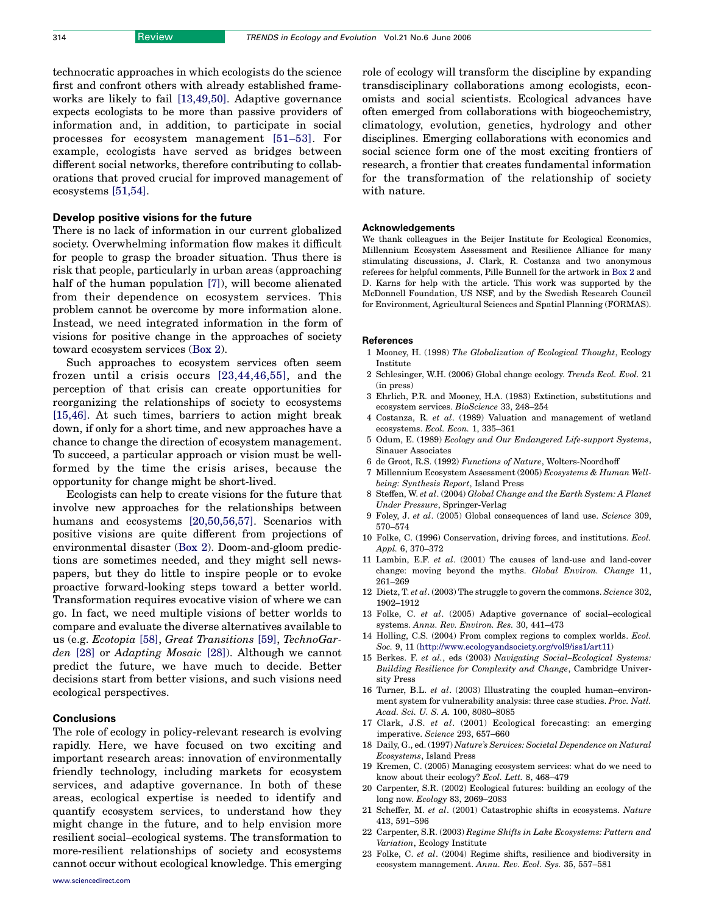<span id="page-5-0"></span>technocratic approaches in which ecologists do the science first and confront others with already established frameworks are likely to fail [13,49,50]. Adaptive governance expects ecologists to be more than passive providers of information and, in addition, to participate in social processes for ecosystem management [\[51–53\]](#page-6-0). For example, ecologists have served as bridges between different social networks, therefore contributing to collaborations that proved crucial for improved management of ecosystems [\[51,54\]](#page-6-0).

#### Develop positive visions for the future

There is no lack of information in our current globalized society. Overwhelming information flow makes it difficult for people to grasp the broader situation. Thus there is risk that people, particularly in urban areas (approaching half of the human population [7]), will become alienated from their dependence on ecosystem services. This problem cannot be overcome by more information alone. Instead, we need integrated information in the form of visions for positive change in the approaches of society toward ecosystem services (Box 2).

Such approaches to ecosystem services often seem frozen until a crisis occurs [23,44,46,55], and the perception of that crisis can create opportunities for reorganizing the relationships of society to ecosystems [15,46]. At such times, barriers to action might break down, if only for a short time, and new approaches have a chance to change the direction of ecosystem management. To succeed, a particular approach or vision must be wellformed by the time the crisis arises, because the opportunity for change might be short-lived.

Ecologists can help to create visions for the future that involve new approaches for the relationships between humans and ecosystems [20,50,56,57]. Scenarios with positive visions are quite different from projections of environmental disaster (Box 2). Doom-and-gloom predictions are sometimes needed, and they might sell newspapers, but they do little to inspire people or to evoke proactive forward-looking steps toward a better world. Transformation requires evocative vision of where we can go. In fact, we need multiple visions of better worlds to compare and evaluate the diverse alternatives available to us (e.g. Ecotopia [\[58\],](#page-6-0) Great Transitions [\[59\],](#page-6-0) TechnoGarden [\[28\]](#page-6-0) or Adapting Mosaic [\[28\]](#page-6-0)). Although we cannot predict the future, we have much to decide. Better decisions start from better visions, and such visions need ecological perspectives.

# **Conclusions**

The role of ecology in policy-relevant research is evolving rapidly. Here, we have focused on two exciting and important research areas: innovation of environmentally friendly technology, including markets for ecosystem services, and adaptive governance. In both of these areas, ecological expertise is needed to identify and quantify ecosystem services, to understand how they might change in the future, and to help envision more resilient social–ecological systems. The transformation to more-resilient relationships of society and ecosystems cannot occur without ecological knowledge. This emerging

role of ecology will transform the discipline by expanding transdisciplinary collaborations among ecologists, economists and social scientists. Ecological advances have often emerged from collaborations with biogeochemistry, climatology, evolution, genetics, hydrology and other disciplines. Emerging collaborations with economics and social science form one of the most exciting frontiers of research, a frontier that creates fundamental information for the transformation of the relationship of society with nature.

# Acknowledgements

We thank colleagues in the Beijer Institute for Ecological Economics, Millennium Ecosystem Assessment and Resilience Alliance for many stimulating discussions, J. Clark, R. Costanza and two anonymous referees for helpful comments, Pille Bunnell for the artwork in Box 2 and D. Karns for help with the article. This work was supported by the McDonnell Foundation, US NSF, and by the Swedish Research Council for Environment, Agricultural Sciences and Spatial Planning (FORMAS).

#### References

- 1 Mooney, H. (1998) The Globalization of Ecological Thought, Ecology Institute
- 2 Schlesinger, W.H. (2006) Global change ecology. Trends Ecol. Evol. 21 (in press)
- 3 Ehrlich, P.R. and Mooney, H.A. (1983) Extinction, substitutions and ecosystem services. BioScience 33, 248–254
- 4 Costanza, R. et al. (1989) Valuation and management of wetland ecosystems. Ecol. Econ. 1, 335–361
- 5 Odum, E. (1989) Ecology and Our Endangered Life-support Systems, Sinauer Associates
- 6 de Groot, R.S. (1992) Functions of Nature, Wolters-Noordhoff
- 7 Millennium Ecosystem Assessment (2005) Ecosystems & Human Wellbeing: Synthesis Report, Island Press
- 8 Steffen, W. et al. (2004) Global Change and the Earth System: A Planet Under Pressure, Springer-Verlag
- 9 Foley, J. et al. (2005) Global consequences of land use. Science 309, 570–574
- 10 Folke, C. (1996) Conservation, driving forces, and institutions. Ecol. Appl. 6, 370–372
- 11 Lambin, E.F. et al. (2001) The causes of land-use and land-cover change: moving beyond the myths. Global Environ. Change 11, 261–269
- 12 Dietz, T. et al. (2003) The struggle to govern the commons. Science 302, 1902–1912
- 13 Folke, C. et al. (2005) Adaptive governance of social–ecological systems. Annu. Rev. Environ. Res. 30, 441–473
- 14 Holling, C.S. (2004) From complex regions to complex worlds. Ecol. Soc. 9, 11 ([http://www.ecologyandsociety.org/vol9/iss1/art11\)](http://www.ecologyandsociety.org/vol9/iss1/art11)
- 15 Berkes. F. et al., eds (2003) Navigating Social–Ecological Systems: Building Resilience for Complexity and Change, Cambridge University Press
- 16 Turner, B.L. et al. (2003) Illustrating the coupled human–environment system for vulnerability analysis: three case studies. Proc. Natl. Acad. Sci. U. S. A. 100, 8080–8085
- 17 Clark, J.S. et al. (2001) Ecological forecasting: an emerging imperative. Science 293, 657–660
- 18 Daily, G., ed. (1997) Nature's Services: Societal Dependence on Natural Ecosystems, Island Press
- 19 Kremen, C. (2005) Managing ecosystem services: what do we need to know about their ecology? Ecol. Lett. 8, 468–479
- 20 Carpenter, S.R. (2002) Ecological futures: building an ecology of the long now. Ecology 83, 2069–2083
- 21 Scheffer, M. et al. (2001) Catastrophic shifts in ecosystems. Nature 413, 591–596
- 22 Carpenter, S.R. (2003) Regime Shifts in Lake Ecosystems: Pattern and Variation, Ecology Institute
- 23 Folke, C. et al. (2004) Regime shifts, resilience and biodiversity in ecosystem management. Annu. Rev. Ecol. Sys. 35, 557–581